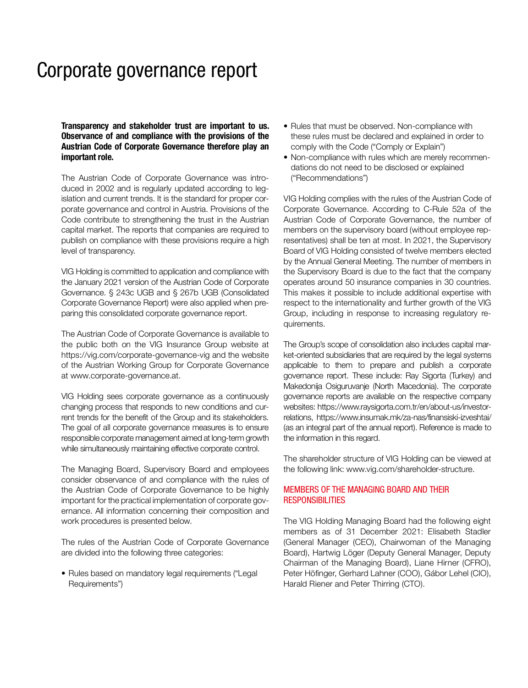# Corporate governance report

**Transparency and stakeholder trust are important to us. Observance of and compliance with the provisions of the Austrian Code of Corporate Governance therefore play an important role.** 

The Austrian Code of Corporate Governance was introduced in 2002 and is regularly updated according to legislation and current trends. It is the standard for proper corporate governance and control in Austria. Provisions of the Code contribute to strengthening the trust in the Austrian capital market. The reports that companies are required to publish on compliance with these provisions require a high level of transparency.

VIG Holding is committed to application and compliance with the January 2021 version of the Austrian Code of Corporate Governance. § 243c UGB and § 267b UGB (Consolidated Corporate Governance Report) were also applied when preparing this consolidated corporate governance report.

The Austrian Code of Corporate Governance is available to the public both on the VIG Insurance Group website at https://vig.com/corporate-governance-vig and the website of the Austrian Working Group for Corporate Governance at www.corporate-governance.at.

VIG Holding sees corporate governance as a continuously changing process that responds to new conditions and current trends for the benefit of the Group and its stakeholders. The goal of all corporate governance measures is to ensure responsible corporate management aimed at long-term growth while simultaneously maintaining effective corporate control.

The Managing Board, Supervisory Board and employees consider observance of and compliance with the rules of the Austrian Code of Corporate Governance to be highly important for the practical implementation of corporate governance. All information concerning their composition and work procedures is presented below.

The rules of the Austrian Code of Corporate Governance are divided into the following three categories:

• Rules based on mandatory legal requirements ("Legal Requirements")

- Rules that must be observed. Non-compliance with these rules must be declared and explained in order to comply with the Code ("Comply or Explain")
- Non-compliance with rules which are merely recommendations do not need to be disclosed or explained ("Recommendations")

VIG Holding complies with the rules of the Austrian Code of Corporate Governance. According to C-Rule 52a of the Austrian Code of Corporate Governance, the number of members on the supervisory board (without employee representatives) shall be ten at most. In 2021, the Supervisory Board of VIG Holding consisted of twelve members elected by the Annual General Meeting. The number of members in the Supervisory Board is due to the fact that the company operates around 50 insurance companies in 30 countries. This makes it possible to include additional expertise with respect to the internationality and further growth of the VIG Group, including in response to increasing regulatory requirements.

The Group's scope of consolidation also includes capital market-oriented subsidiaries that are required by the legal systems applicable to them to prepare and publish a corporate governance report. These include: Ray Sigorta (Turkey) and Makedonija Osiguruvanje (North Macedonia). The corporate governance reports are available on the respective company websites: https://www.raysigorta.com.tr/en/about-us/investorrelations, https://www.insumak.mk/za-nas/finansiski-izveshtai/ (as an integral part of the annual report). Reference is made to the information in this regard.

The shareholder structure of VIG Holding can be viewed at the following link: www.vig.com/shareholder-structure.

# MEMBERS OF THE MANAGING BOARD AND THEIR **RESPONSIBILITIES**

The VIG Holding Managing Board had the following eight members as of 31 December 2021: Elisabeth Stadler (General Manager (CEO), Chairwoman of the Managing Board), Hartwig Löger (Deputy General Manager, Deputy Chairman of the Managing Board), Liane Hirner (CFRO), Peter Höfinger, Gerhard Lahner (COO), Gábor Lehel (CIO), Harald Riener and Peter Thirring (CTO).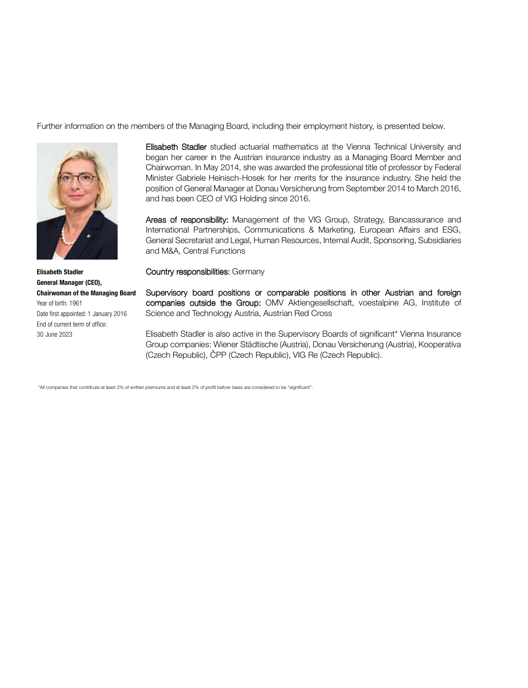Further information on the members of the Managing Board, including their employment history, is presented below.



Elisabeth Stadler studied actuarial mathematics at the Vienna Technical University and began her career in the Austrian insurance industry as a Managing Board Member and Chairwoman. In May 2014, she was awarded the professional title of professor by Federal Minister Gabriele Heinisch-Hosek for her merits for the insurance industry. She held the position of General Manager at Donau Versicherung from September 2014 to March 2016, and has been CEO of VIG Holding since 2016.

Areas of responsibility: Management of the VIG Group, Strategy, Bancassurance and International Partnerships, Communications & Marketing, European Affairs and ESG, General Secretariat and Legal, Human Resources, Internal Audit, Sponsoring, Subsidiaries and M&A, Central Functions

Country responsibilities: Germany

Supervisory board positions or comparable positions in other Austrian and foreign companies outside the Group: OMV Aktiengesellschaft, voestalpine AG, Institute of Science and Technology Austria, Austrian Red Cross

Elisabeth Stadler is also active in the Supervisory Boards of significant\* Vienna Insurance Group companies: Wiener Städtische (Austria), Donau Versicherung (Austria), Kooperativa (Czech Republic), ČPP (Czech Republic), VIG Re (Czech Republic).

\*All companies that contribute at least 2% of written premiums and at least 2% of profit before taxes are considered to be "significant".

**Elisabeth Stadler General Manager (CEO), Chairwoman of the Managing Board** Year of birth: 1961 Date first appointed: 1 January 2016 End of current term of office: 30 June 2023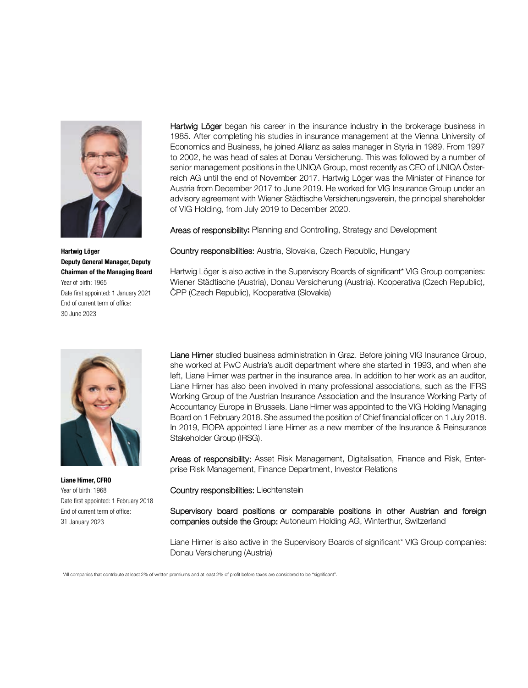

Hartwig Löger began his career in the insurance industry in the brokerage business in 1985. After completing his studies in insurance management at the Vienna University of Economics and Business, he joined Allianz as sales manager in Styria in 1989. From 1997 to 2002, he was head of sales at Donau Versicherung. This was followed by a number of senior management positions in the UNIQA Group, most recently as CEO of UNIQA Österreich AG until the end of November 2017. Hartwig Löger was the Minister of Finance for Austria from December 2017 to June 2019. He worked for VIG Insurance Group under an advisory agreement with Wiener Städtische Versicherungsverein, the principal shareholder of VIG Holding, from July 2019 to December 2020.

Areas of responsibility**:** Planning and Controlling, Strategy and Development

Country responsibilities: Austria, Slovakia, Czech Republic, Hungary

Hartwig Löger is also active in the Supervisory Boards of significant\* VIG Group companies: Wiener Städtische (Austria), Donau Versicherung (Austria). Kooperativa (Czech Republic), ČPP (Czech Republic), Kooperativa (Slovakia)

Liane Hirner studied business administration in Graz. Before joining VIG Insurance Group, she worked at PwC Austria's audit department where she started in 1993, and when she left, Liane Hirner was partner in the insurance area. In addition to her work as an auditor, Liane Hirner has also been involved in many professional associations, such as the IFRS Working Group of the Austrian Insurance Association and the Insurance Working Party of Accountancy Europe in Brussels. Liane Hirner was appointed to the VIG Holding Managing Board on 1 February 2018. She assumed the position of Chief financial officer on 1 July 2018. In 2019, EIOPA appointed Liane Hirner as a new member of the Insurance & Reinsurance Stakeholder Group (IRSG).

Areas of responsibility: Asset Risk Management, Digitalisation, Finance and Risk, Enterprise Risk Management, Finance Department, Investor Relations

Country responsibilities: Liechtenstein

Supervisory board positions or comparable positions in other Austrian and foreign companies outside the Group: Autoneum Holding AG, Winterthur, Switzerland

Liane Hirner is also active in the Supervisory Boards of significant\* VIG Group companies: Donau Versicherung (Austria)

\*All companies that contribute at least 2% of written premiums and at least 2% of profit before taxes are considered to be "significant".

**Hartwig Löger Deputy General Manager, Deputy Chairman of the Managing Board** Year of birth: 1965 Date first appointed: 1 January 2021 End of current term of office: 30 June 2023



**Liane Hirner, CFRO** Year of birth: 1968 Date first appointed: 1 February 2018 End of current term of office: 31 January 2023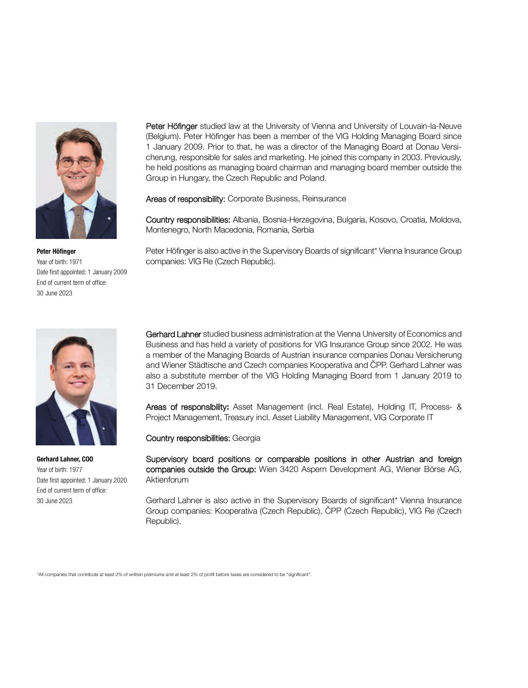

**Peter Höfinger** Year of birth: 1971 Date first appointed: 1 January 2009 End of current term of office: 30 June 2023



**Gerhard Lahner, COO** Year of birth: 1977 Date first appointed: 1 January 2020 End of current term of office: 30 June 2023

Peter Höfinger studied law at the University of Vienna and University of Louvain-la-Neuve (Belgium). Peter Höfinger has been a member of the VIG Holding Managing Board since 1 January 2009. Prior to that, he was a director of the Managing Board at Donau Versicherung, responsible for sales and marketing. He joined this company in 2003. Previously, he held positions as managing board chairman and managing board member outside the Group in Hungary, the Czech Republic and Poland.

Areas of responsibility: Corporate Business, Reinsurance

Country responsibilities: Albania, Bosnia-Herzegovina, Bulgaria, Kosovo, Croatia, Moldova, Montenegro, North Macedonia, Romania, Serbia

Peter Höfinger is also active in the Supervisory Boards of significant\* Vienna Insurance Group companies: VIG Re (Czech Republic).

Gerhard Lahner studied business administration at the Vienna University of Economics and Business and has held a variety of positions for VIG Insurance Group since 2002. He was a member of the Managing Boards of Austrian insurance companies Donau Versicherung and Wiener Städtische and Czech companies Kooperativa and ČPP. Gerhard Lahner was also a substitute member of the VIG Holding Managing Board from 1 January 2019 to 31 December 2019.

Areas of responsibility**:** Asset Management (incl. Real Estate), Holding IT, Process- & Project Management, Treasury incl. Asset Liability Management, VIG Corporate IT

Country responsibilities: Georgia

Supervisory board positions or comparable positions in other Austrian and foreign companies outside the Group: Wien 3420 Aspern Development AG, Wiener Börse AG, **Aktienforum** 

Gerhard Lahner is also active in the Supervisory Boards of significant\* Vienna Insurance Group companies: Kooperativa (Czech Republic), ČPP (Czech Republic), VIG Re (Czech Republic).

\*All companies that contribute at least 2% of written premiums and at least 2% of profit before taxes are considered to be "significant".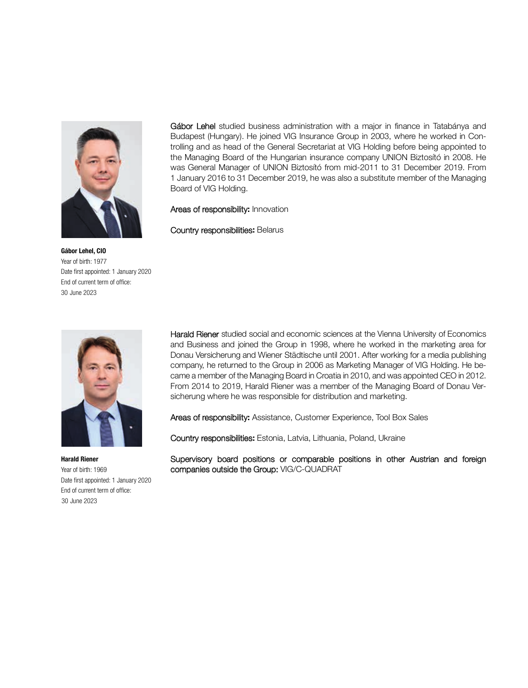

Gábor Lehel studied business administration with a major in finance in Tatabánya and Budapest (Hungary). He joined VIG Insurance Group in 2003, where he worked in Controlling and as head of the General Secretariat at VIG Holding before being appointed to the Managing Board of the Hungarian insurance company UNION Biztosító in 2008. He was General Manager of UNION Biztosító from mid-2011 to 31 December 2019. From 1 January 2016 to 31 December 2019, he was also a substitute member of the Managing Board of VIG Holding.

Areas of responsibility**:** Innovation

Country responsibilities**:** Belarus

**Gábor Lehel, CIO** Year of birth: 1977 Date first appointed: 1 January 2020 End of current term of office: 30 June 2023



Harald Riener studied social and economic sciences at the Vienna University of Economics and Business and joined the Group in 1998, where he worked in the marketing area for Donau Versicherung and Wiener Städtische until 2001. After working for a media publishing company, he returned to the Group in 2006 as Marketing Manager of VIG Holding. He became a member of the Managing Board in Croatia in 2010, and was appointed CEO in 2012. From 2014 to 2019, Harald Riener was a member of the Managing Board of Donau Versicherung where he was responsible for distribution and marketing.

Areas of responsibility**:** Assistance, Customer Experience, Tool Box Sales

Country responsibilities**:** Estonia, Latvia, Lithuania, Poland, Ukraine

Supervisory board positions or comparable positions in other Austrian and foreign companies outside the Group: VIG/C-QUADRAT

**Harald Riener** Year of birth: 1969 Date first appointed: 1 January 2020 End of current term of office: 30 June 2023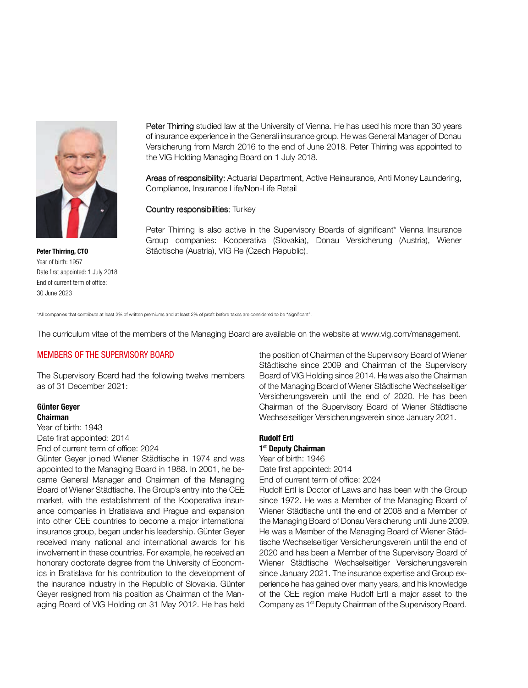

**Peter Thirring, CTO** Year of birth: 1957 Date first appointed: 1 July 2018 End of current term of office: 30 June 2023

Peter Thirring studied law at the University of Vienna. He has used his more than 30 years of insurance experience in the Generali insurance group. He was General Manager of Donau Versicherung from March 2016 to the end of June 2018. Peter Thirring was appointed to the VIG Holding Managing Board on 1 July 2018.

Areas of responsibility: Actuarial Department, Active Reinsurance, Anti Money Laundering, Compliance, Insurance Life/Non-Life Retail

#### **Country responsibilities:** Turkey

Peter Thirring is also active in the Supervisory Boards of significant\* Vienna Insurance Group companies: Kooperativa (Slovakia), Donau Versicherung (Austria), Wiener Städtische (Austria), VIG Re (Czech Republic).

\*All companies that contribute at least 2% of written premiums and at least 2% of profit before taxes are considered to be "significant".

The curriculum vitae of the members of the Managing Board are available on the website at www.vig.com/management.

#### MEMBERS OF THE SUPERVISORY BOARD

The Supervisory Board had the following twelve members as of 31 December 2021:

#### **Günter Geyer Chairman**

Year of birth: 1943 Date first appointed: 2014 End of current term of office: 2024

Günter Geyer joined Wiener Städtische in 1974 and was appointed to the Managing Board in 1988. In 2001, he became General Manager and Chairman of the Managing Board of Wiener Städtische. The Group's entry into the CEE market, with the establishment of the Kooperativa insurance companies in Bratislava and Prague and expansion into other CEE countries to become a major international insurance group, began under his leadership. Günter Geyer received many national and international awards for his involvement in these countries. For example, he received an honorary doctorate degree from the University of Economics in Bratislava for his contribution to the development of the insurance industry in the Republic of Slovakia. Günter Geyer resigned from his position as Chairman of the Managing Board of VIG Holding on 31 May 2012. He has held the position of Chairman of the Supervisory Board of Wiener Städtische since 2009 and Chairman of the Supervisory Board of VIG Holding since 2014. He was also the Chairman of the Managing Board of Wiener Städtische Wechselseitiger Versicherungsverein until the end of 2020. He has been Chairman of the Supervisory Board of Wiener Städtische Wechselseitiger Versicherungsverein since January 2021.

# **Rudolf Ertl**

# **1st Deputy Chairman**

Year of birth: 1946 Date first appointed: 2014 End of current term of office: 2024

Rudolf Ertl is Doctor of Laws and has been with the Group since 1972. He was a Member of the Managing Board of Wiener Städtische until the end of 2008 and a Member of the Managing Board of Donau Versicherung until June 2009. He was a Member of the Managing Board of Wiener Städtische Wechselseitiger Versicherungsverein until the end of 2020 and has been a Member of the Supervisory Board of Wiener Städtische Wechselseitiger Versicherungsverein since January 2021. The insurance expertise and Group experience he has gained over many years, and his knowledge of the CEE region make Rudolf Ertl a major asset to the Company as 1<sup>st</sup> Deputy Chairman of the Supervisory Board.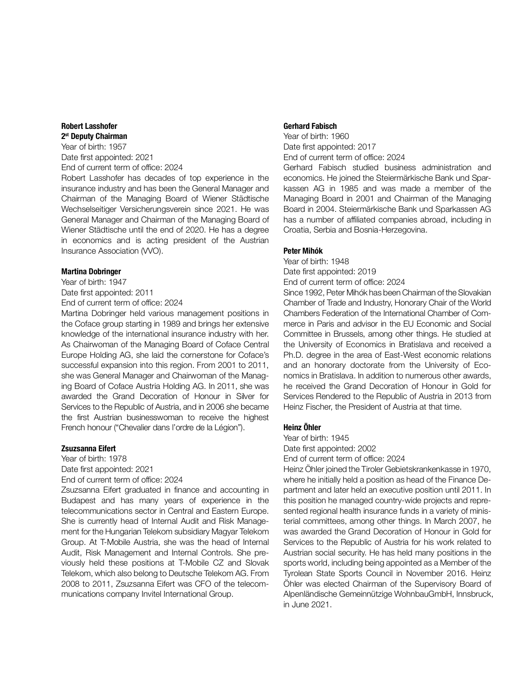#### **Robert Lasshofer 2st Deputy Chairman**

Year of birth: 1957 Date first appointed: 2021 End of current term of office: 2024

Robert Lasshofer has decades of top experience in the insurance industry and has been the General Manager and Chairman of the Managing Board of Wiener Städtische Wechselseitiger Versicherungsverein since 2021. He was General Manager and Chairman of the Managing Board of Wiener Städtische until the end of 2020. He has a degree in economics and is acting president of the Austrian Insurance Association (VVO).

#### **Martina Dobringer**

Year of birth: 1947 Date first appointed: 2011 End of current term of office: 2024

Martina Dobringer held various management positions in the Coface group starting in 1989 and brings her extensive knowledge of the international insurance industry with her. As Chairwoman of the Managing Board of Coface Central Europe Holding AG, she laid the cornerstone for Coface's successful expansion into this region. From 2001 to 2011, she was General Manager and Chairwoman of the Managing Board of Coface Austria Holding AG. In 2011, she was awarded the Grand Decoration of Honour in Silver for Services to the Republic of Austria, and in 2006 she became the first Austrian businesswoman to receive the highest French honour ("Chevalier dans l'ordre de la Légion").

## **Zsuzsanna Eifert**

Year of birth: 1978 Date first appointed: 2021 End of current term of office: 2024

Zsuzsanna Eifert graduated in finance and accounting in Budapest and has many years of experience in the telecommunications sector in Central and Eastern Europe. She is currently head of Internal Audit and Risk Management for the Hungarian Telekom subsidiary Magyar Telekom Group. At T-Mobile Austria, she was the head of Internal Audit, Risk Management and Internal Controls. She previously held these positions at T-Mobile CZ and Slovak Telekom, which also belong to Deutsche Telekom AG. From 2008 to 2011, Zsuzsanna Eifert was CFO of the telecommunications company Invitel International Group.

#### **Gerhard Fabisch**

Year of birth: 1960 Date first appointed: 2017 End of current term of office: 2024

Gerhard Fabisch studied business administration and economics. He joined the Steiermärkische Bank und Sparkassen AG in 1985 and was made a member of the Managing Board in 2001 and Chairman of the Managing Board in 2004. Steiermärkische Bank und Sparkassen AG has a number of affiliated companies abroad, including in Croatia, Serbia and Bosnia-Herzegovina.

#### **Peter Mihók**

Year of birth: 1948 Date first appointed: 2019

End of current term of office: 2024

Since 1992, Peter Mihók has been Chairman of the Slovakian Chamber of Trade and Industry, Honorary Chair of the World Chambers Federation of the International Chamber of Commerce in Paris and advisor in the EU Economic and Social Committee in Brussels, among other things. He studied at the University of Economics in Bratislava and received a Ph.D. degree in the area of East-West economic relations and an honorary doctorate from the University of Economics in Bratislava. In addition to numerous other awards, he received the Grand Decoration of Honour in Gold for Services Rendered to the Republic of Austria in 2013 from Heinz Fischer, the President of Austria at that time.

#### **Heinz Öhler**

Year of birth: 1945

Date first appointed: 2002

End of current term of office: 2024

Heinz Öhler joined the Tiroler Gebietskrankenkasse in 1970, where he initially held a position as head of the Finance Department and later held an executive position until 2011. In this position he managed country-wide projects and represented regional health insurance funds in a variety of ministerial committees, among other things. In March 2007, he was awarded the Grand Decoration of Honour in Gold for Services to the Republic of Austria for his work related to Austrian social security. He has held many positions in the sports world, including being appointed as a Member of the Tyrolean State Sports Council in November 2016. Heinz Öhler was elected Chairman of the Supervisory Board of Alpenländische Gemeinnützige WohnbauGmbH, Innsbruck, in June 2021.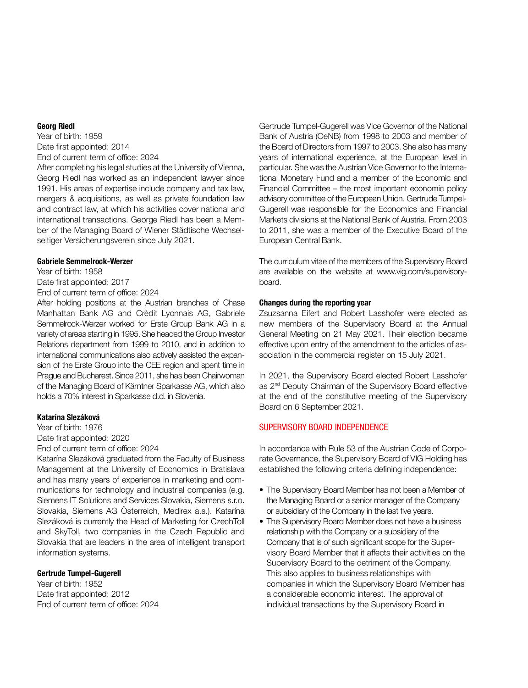## **Georg Riedl**

Year of birth: 1959 Date first appointed: 2014 End of current term of office: 2024

After completing his legal studies at the University of Vienna, Georg Riedl has worked as an independent lawyer since 1991. His areas of expertise include company and tax law, mergers & acquisitions, as well as private foundation law and contract law, at which his activities cover national and international transactions. George Riedl has been a Member of the Managing Board of Wiener Städtische Wechselseitiger Versicherungsverein since July 2021.

#### **Gabriele Semmelrock-Werzer**

Year of birth: 1958

Date first appointed: 2017

End of current term of office: 2024

After holding positions at the Austrian branches of Chase Manhattan Bank AG and Crèdit Lyonnais AG, Gabriele Semmelrock-Werzer worked for Erste Group Bank AG in a variety of areas starting in 1995. She headed the Group Investor Relations department from 1999 to 2010, and in addition to international communications also actively assisted the expansion of the Erste Group into the CEE region and spent time in Prague and Bucharest. Since 2011, she has been Chairwoman of the Managing Board of Kärntner Sparkasse AG, which also holds a 70% interest in Sparkasse d.d. in Slovenia.

#### **Katarína Slezáková**

Year of birth: 1976

Date first appointed: 2020

End of current term of office: 2024

Katarína Slezáková graduated from the Faculty of Business Management at the University of Economics in Bratislava and has many years of experience in marketing and communications for technology and industrial companies (e.g. Siemens IT Solutions and Services Slovakia, Siemens s.r.o. Slovakia, Siemens AG Österreich, Medirex a.s.). Katarína Slezáková is currently the Head of Marketing for CzechToll and SkyToll, two companies in the Czech Republic and Slovakia that are leaders in the area of intelligent transport information systems.

#### **Gertrude Tumpel-Gugerell**

Year of birth: 1952 Date first appointed: 2012 End of current term of office: 2024 Gertrude Tumpel-Gugerell was Vice Governor of the National Bank of Austria (OeNB) from 1998 to 2003 and member of the Board of Directors from 1997 to 2003. She also has many years of international experience, at the European level in particular. She was the Austrian Vice Governor to the International Monetary Fund and a member of the Economic and Financial Committee – the most important economic policy advisory committee of the European Union. Gertrude Tumpel-Gugerell was responsible for the Economics and Financial Markets divisions at the National Bank of Austria. From 2003 to 2011, she was a member of the Executive Board of the European Central Bank.

The curriculum vitae of the members of the Supervisory Board are available on the website at www.vig.com/supervisoryboard.

#### **Changes during the reporting year**

Zsuzsanna Eifert and Robert Lasshofer were elected as new members of the Supervisory Board at the Annual General Meeting on 21 May 2021. Their election became effective upon entry of the amendment to the articles of association in the commercial register on 15 July 2021.

In 2021, the Supervisory Board elected Robert Lasshofer as 2<sup>nd</sup> Deputy Chairman of the Supervisory Board effective at the end of the constitutive meeting of the Supervisory Board on 6 September 2021.

# SUPERVISORY BOARD INDEPENDENCE

In accordance with Rule 53 of the Austrian Code of Corporate Governance, the Supervisory Board of VIG Holding has established the following criteria defining independence:

- The Supervisory Board Member has not been a Member of the Managing Board or a senior manager of the Company or subsidiary of the Company in the last five years.
- The Supervisory Board Member does not have a business relationship with the Company or a subsidiary of the Company that is of such significant scope for the Supervisory Board Member that it affects their activities on the Supervisory Board to the detriment of the Company. This also applies to business relationships with companies in which the Supervisory Board Member has a considerable economic interest. The approval of individual transactions by the Supervisory Board in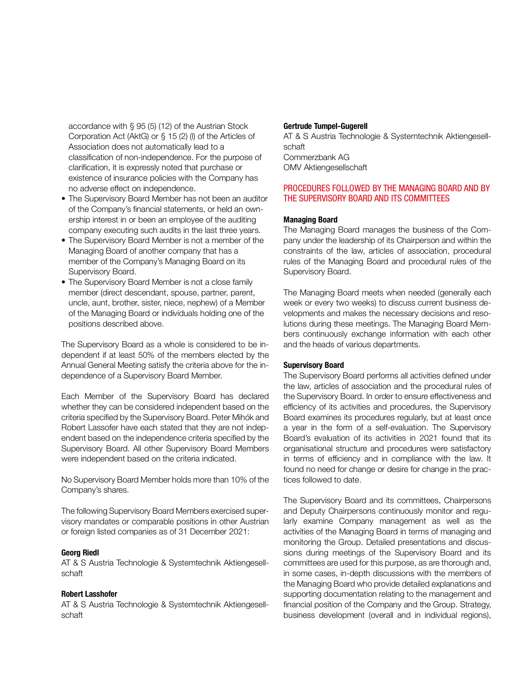accordance with § 95 (5) (12) of the Austrian Stock Corporation Act (AktG) or § 15 (2) (l) of the Articles of Association does not automatically lead to a classification of non-independence. For the purpose of clarification, it is expressly noted that purchase or existence of insurance policies with the Company has no adverse effect on independence.

- The Supervisory Board Member has not been an auditor of the Company's financial statements, or held an ownership interest in or been an employee of the auditing company executing such audits in the last three years.
- The Supervisory Board Member is not a member of the Managing Board of another company that has a member of the Company's Managing Board on its Supervisory Board.
- The Supervisory Board Member is not a close family member (direct descendant, spouse, partner, parent, uncle, aunt, brother, sister, niece, nephew) of a Member of the Managing Board or individuals holding one of the positions described above.

The Supervisory Board as a whole is considered to be independent if at least 50% of the members elected by the Annual General Meeting satisfy the criteria above for the independence of a Supervisory Board Member.

Each Member of the Supervisory Board has declared whether they can be considered independent based on the criteria specified by the Supervisory Board. Peter Mihók and Robert Lassofer have each stated that they are not independent based on the independence criteria specified by the Supervisory Board. All other Supervisory Board Members were independent based on the criteria indicated.

No Supervisory Board Member holds more than 10% of the Company's shares.

The following Supervisory Board Members exercised supervisory mandates or comparable positions in other Austrian or foreign listed companies as of 31 December 2021:

#### **Georg Riedl**

AT & S Austria Technologie & Systemtechnik Aktiengesellschaft

# **Robert Lasshofer**

AT & S Austria Technologie & Systemtechnik Aktiengesellschaft

#### **Gertrude Tumpel-Gugerell**

AT & S Austria Technologie & Systemtechnik Aktiengesellschaft Commerzbank AG OMV Aktiengesellschaft

## PROCEDURES FOLLOWED BY THE MANAGING BOARD AND BY THE SUPERVISORY BOARD AND ITS COMMITTEES

#### **Managing Board**

The Managing Board manages the business of the Company under the leadership of its Chairperson and within the constraints of the law, articles of association, procedural rules of the Managing Board and procedural rules of the Supervisory Board.

The Managing Board meets when needed (generally each week or every two weeks) to discuss current business developments and makes the necessary decisions and resolutions during these meetings. The Managing Board Members continuously exchange information with each other and the heads of various departments.

#### **Supervisory Board**

The Supervisory Board performs all activities defined under the law, articles of association and the procedural rules of the Supervisory Board. In order to ensure effectiveness and efficiency of its activities and procedures, the Supervisory Board examines its procedures regularly, but at least once a year in the form of a self-evaluation. The Supervisory Board's evaluation of its activities in 2021 found that its organisational structure and procedures were satisfactory in terms of efficiency and in compliance with the law. It found no need for change or desire for change in the practices followed to date.

The Supervisory Board and its committees, Chairpersons and Deputy Chairpersons continuously monitor and regularly examine Company management as well as the activities of the Managing Board in terms of managing and monitoring the Group. Detailed presentations and discussions during meetings of the Supervisory Board and its committees are used for this purpose, as are thorough and, in some cases, in-depth discussions with the members of the Managing Board who provide detailed explanations and supporting documentation relating to the management and financial position of the Company and the Group. Strategy, business development (overall and in individual regions),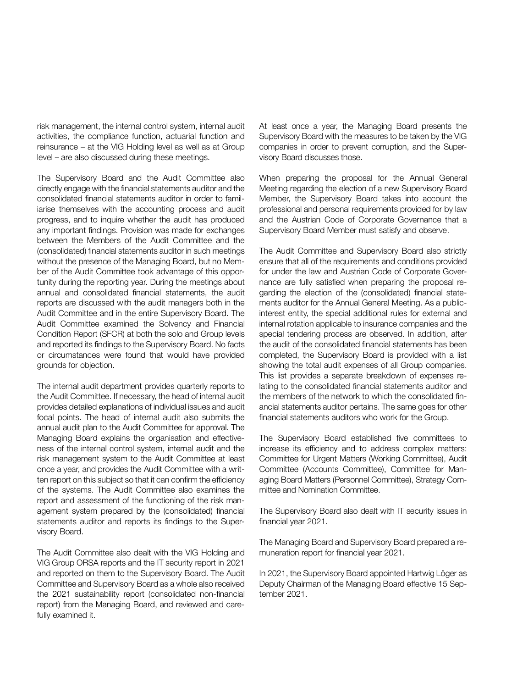risk management, the internal control system, internal audit activities, the compliance function, actuarial function and reinsurance – at the VIG Holding level as well as at Group level – are also discussed during these meetings.

The Supervisory Board and the Audit Committee also directly engage with the financial statements auditor and the consolidated financial statements auditor in order to familiarise themselves with the accounting process and audit progress, and to inquire whether the audit has produced any important findings. Provision was made for exchanges between the Members of the Audit Committee and the (consolidated) financial statements auditor in such meetings without the presence of the Managing Board, but no Member of the Audit Committee took advantage of this opportunity during the reporting year. During the meetings about annual and consolidated financial statements, the audit reports are discussed with the audit managers both in the Audit Committee and in the entire Supervisory Board. The Audit Committee examined the Solvency and Financial Condition Report (SFCR) at both the solo and Group levels and reported its findings to the Supervisory Board. No facts or circumstances were found that would have provided grounds for objection.

The internal audit department provides quarterly reports to the Audit Committee. If necessary, the head of internal audit provides detailed explanations of individual issues and audit focal points. The head of internal audit also submits the annual audit plan to the Audit Committee for approval. The Managing Board explains the organisation and effectiveness of the internal control system, internal audit and the risk management system to the Audit Committee at least once a year, and provides the Audit Committee with a written report on this subject so that it can confirm the efficiency of the systems. The Audit Committee also examines the report and assessment of the functioning of the risk management system prepared by the (consolidated) financial statements auditor and reports its findings to the Supervisory Board.

The Audit Committee also dealt with the VIG Holding and VIG Group ORSA reports and the IT security report in 2021 and reported on them to the Supervisory Board. The Audit Committee and Supervisory Board as a whole also received the 2021 sustainability report (consolidated non-financial report) from the Managing Board, and reviewed and carefully examined it.

At least once a year, the Managing Board presents the Supervisory Board with the measures to be taken by the VIG companies in order to prevent corruption, and the Supervisory Board discusses those.

When preparing the proposal for the Annual General Meeting regarding the election of a new Supervisory Board Member, the Supervisory Board takes into account the professional and personal requirements provided for by law and the Austrian Code of Corporate Governance that a Supervisory Board Member must satisfy and observe.

The Audit Committee and Supervisory Board also strictly ensure that all of the requirements and conditions provided for under the law and Austrian Code of Corporate Governance are fully satisfied when preparing the proposal regarding the election of the (consolidated) financial statements auditor for the Annual General Meeting. As a publicinterest entity, the special additional rules for external and internal rotation applicable to insurance companies and the special tendering process are observed. In addition, after the audit of the consolidated financial statements has been completed, the Supervisory Board is provided with a list showing the total audit expenses of all Group companies. This list provides a separate breakdown of expenses relating to the consolidated financial statements auditor and the members of the network to which the consolidated financial statements auditor pertains. The same goes for other financial statements auditors who work for the Group.

The Supervisory Board established five committees to increase its efficiency and to address complex matters: Committee for Urgent Matters (Working Committee), Audit Committee (Accounts Committee), Committee for Managing Board Matters (Personnel Committee), Strategy Committee and Nomination Committee.

The Supervisory Board also dealt with IT security issues in financial year 2021.

The Managing Board and Supervisory Board prepared a remuneration report for financial year 2021.

In 2021, the Supervisory Board appointed Hartwig Löger as Deputy Chairman of the Managing Board effective 15 September 2021.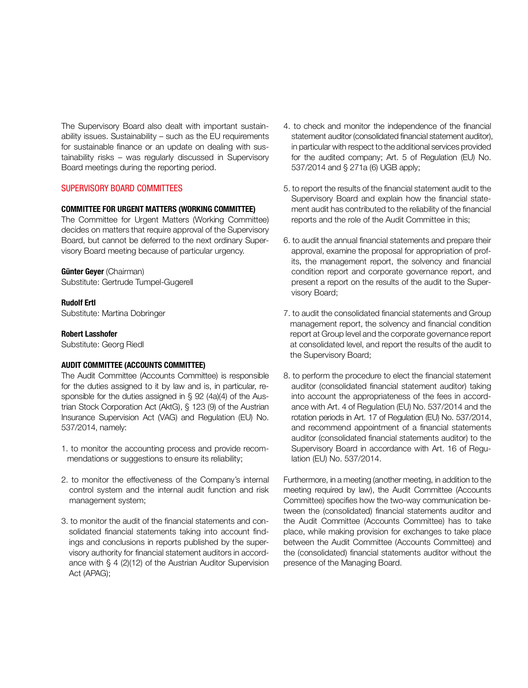The Supervisory Board also dealt with important sustainability issues. Sustainability – such as the EU requirements for sustainable finance or an update on dealing with sustainability risks – was regularly discussed in Supervisory Board meetings during the reporting period.

## SUPERVISORY BOARD COMMITTEES

#### **COMMITTEE FOR URGENT MATTERS (WORKING COMMITTEE)**

The Committee for Urgent Matters (Working Committee) decides on matters that require approval of the Supervisory Board, but cannot be deferred to the next ordinary Supervisory Board meeting because of particular urgency.

#### **Günter Geyer** (Chairman)

Substitute: Gertrude Tumpel-Gugerell

## **Rudolf Ertl**

Substitute: Martina Dobringer

#### **Robert Lasshofer**

Substitute: Georg Riedl

#### **AUDIT COMMITTEE (ACCOUNTS COMMITTEE)**

The Audit Committee (Accounts Committee) is responsible for the duties assigned to it by law and is, in particular, responsible for the duties assigned in § 92 (4a)(4) of the Austrian Stock Corporation Act (AktG), § 123 (9) of the Austrian Insurance Supervision Act (VAG) and Regulation (EU) No. 537/2014, namely:

- 1. to monitor the accounting process and provide recommendations or suggestions to ensure its reliability;
- 2. to monitor the effectiveness of the Company's internal control system and the internal audit function and risk management system;
- 3. to monitor the audit of the financial statements and consolidated financial statements taking into account findings and conclusions in reports published by the supervisory authority for financial statement auditors in accordance with § 4 (2)(12) of the Austrian Auditor Supervision Act (APAG);
- 4. to check and monitor the independence of the financial statement auditor (consolidated financial statement auditor), in particular with respect to the additional services provided for the audited company; Art. 5 of Regulation (EU) No. 537/2014 and § 271a (6) UGB apply;
- 5. to report the results of the financial statement audit to the Supervisory Board and explain how the financial statement audit has contributed to the reliability of the financial reports and the role of the Audit Committee in this;
- 6. to audit the annual financial statements and prepare their approval, examine the proposal for appropriation of profits, the management report, the solvency and financial condition report and corporate governance report, and present a report on the results of the audit to the Supervisory Board;
- 7. to audit the consolidated financial statements and Group management report, the solvency and financial condition report at Group level and the corporate governance report at consolidated level, and report the results of the audit to the Supervisory Board;
- 8. to perform the procedure to elect the financial statement auditor (consolidated financial statement auditor) taking into account the appropriateness of the fees in accordance with Art. 4 of Regulation (EU) No. 537/2014 and the rotation periods in Art. 17 of Regulation (EU) No. 537/2014, and recommend appointment of a financial statements auditor (consolidated financial statements auditor) to the Supervisory Board in accordance with Art. 16 of Regulation (EU) No. 537/2014.

Furthermore, in a meeting (another meeting, in addition to the meeting required by law), the Audit Committee (Accounts Committee) specifies how the two-way communication between the (consolidated) financial statements auditor and the Audit Committee (Accounts Committee) has to take place, while making provision for exchanges to take place between the Audit Committee (Accounts Committee) and the (consolidated) financial statements auditor without the presence of the Managing Board.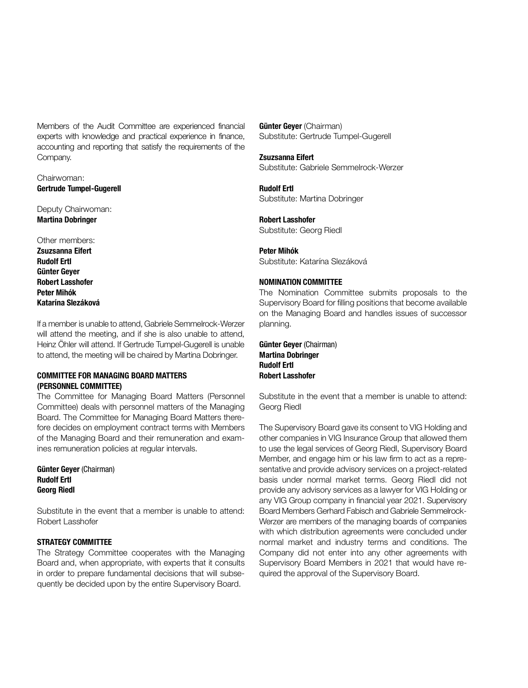Members of the Audit Committee are experienced financial experts with knowledge and practical experience in finance, accounting and reporting that satisfy the requirements of the Company.

Chairwoman: **Gertrude Tumpel-Gugerell** 

Deputy Chairwoman: **Martina Dobringer** 

Other members: **Zsuzsanna Eifert Rudolf Ertl Günter Geyer Robert Lasshofer Peter Mihók Katarína Slezáková** 

If a member is unable to attend, Gabriele Semmelrock-Werzer will attend the meeting, and if she is also unable to attend, Heinz Öhler will attend. If Gertrude Tumpel-Gugerell is unable to attend, the meeting will be chaired by Martina Dobringer.

# **COMMITTEE FOR MANAGING BOARD MATTERS (PERSONNEL COMMITTEE)**

The Committee for Managing Board Matters (Personnel Committee) deals with personnel matters of the Managing Board. The Committee for Managing Board Matters therefore decides on employment contract terms with Members of the Managing Board and their remuneration and examines remuneration policies at regular intervals.

**Günter Geyer** (Chairman) **Rudolf Ertl Georg Riedl** 

Substitute in the event that a member is unable to attend: Robert Lasshofer

#### **STRATEGY COMMITTEE**

The Strategy Committee cooperates with the Managing Board and, when appropriate, with experts that it consults in order to prepare fundamental decisions that will subsequently be decided upon by the entire Supervisory Board.

**Günter Geyer** (Chairman) Substitute: Gertrude Tumpel-Gugerell

**Zsuzsanna Eifert**  Substitute: Gabriele Semmelrock-Werzer

**Rudolf Ertl**  Substitute: Martina Dobringer

**Robert Lasshofer**  Substitute: Georg Riedl

**Peter Mihók** Substitute: Katarína Slezáková

## **NOMINATION COMMITTEE**

The Nomination Committee submits proposals to the Supervisory Board for filling positions that become available on the Managing Board and handles issues of successor planning.

**Günter Geyer** (Chairman) **Martina Dobringer Rudolf Ertl Robert Lasshofer** 

Substitute in the event that a member is unable to attend: Georg Riedl

The Supervisory Board gave its consent to VIG Holding and other companies in VIG Insurance Group that allowed them to use the legal services of Georg Riedl, Supervisory Board Member, and engage him or his law firm to act as a representative and provide advisory services on a project-related basis under normal market terms. Georg Riedl did not provide any advisory services as a lawyer for VIG Holding or any VIG Group company in financial year 2021. Supervisory Board Members Gerhard Fabisch and Gabriele Semmelrock-Werzer are members of the managing boards of companies with which distribution agreements were concluded under normal market and industry terms and conditions. The Company did not enter into any other agreements with Supervisory Board Members in 2021 that would have required the approval of the Supervisory Board.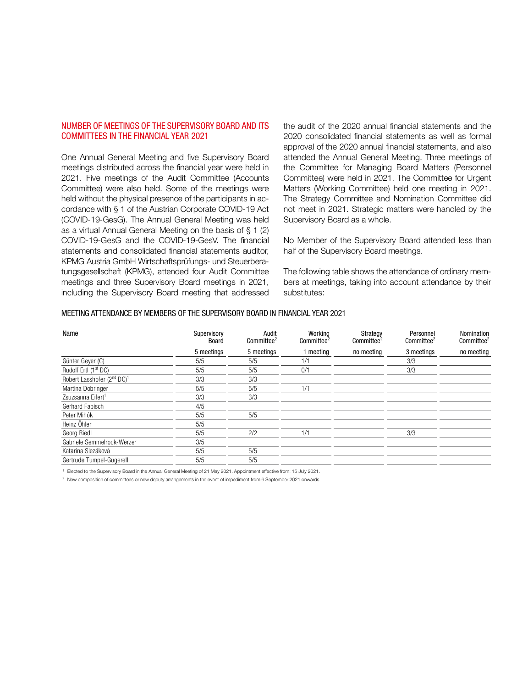# NUMBER OF MEETINGS OF THE SUPERVISORY BOARD AND ITS COMMITTEES IN THE FINANCIAL YEAR 2021

One Annual General Meeting and five Supervisory Board meetings distributed across the financial year were held in 2021. Five meetings of the Audit Committee (Accounts Committee) were also held. Some of the meetings were held without the physical presence of the participants in accordance with § 1 of the Austrian Corporate COVID-19 Act (COVID-19-GesG). The Annual General Meeting was held as a virtual Annual General Meeting on the basis of  $\S 1$  (2) COVID-19-GesG and the COVID-19-GesV. The financial statements and consolidated financial statements auditor, KPMG Austria GmbH Wirtschaftsprüfungs- und Steuerberatungsgesellschaft (KPMG), attended four Audit Committee meetings and three Supervisory Board meetings in 2021, including the Supervisory Board meeting that addressed

the audit of the 2020 annual financial statements and the 2020 consolidated financial statements as well as formal approval of the 2020 annual financial statements, and also attended the Annual General Meeting. Three meetings of the Committee for Managing Board Matters (Personnel Committee) were held in 2021. The Committee for Urgent Matters (Working Committee) held one meeting in 2021. The Strategy Committee and Nomination Committee did not meet in 2021. Strategic matters were handled by the Supervisory Board as a whole.

No Member of the Supervisory Board attended less than half of the Supervisory Board meetings.

The following table shows the attendance of ordinary members at meetings, taking into account attendance by their substitutes:

#### MEETING ATTENDANCE BY MEMBERS OF THE SUPERVISORY BOARD IN FINANCIAL YEAR 2021

| Name                                               | Supervisory<br>Board | Audit<br>Committee <sup>2</sup> | Working<br>Committee <sup>2</sup> | Strategy<br>Committee <sup>2</sup> | Personnel<br>Committee <sup>2</sup> | Nomination<br>Committee <sup>2</sup> |
|----------------------------------------------------|----------------------|---------------------------------|-----------------------------------|------------------------------------|-------------------------------------|--------------------------------------|
|                                                    | 5 meetings           | 5 meetings                      | I meeting                         | no meeting                         | 3 meetings                          | no meeting                           |
| Günter Geyer (C)                                   | 5/5                  | 5/5                             | 1/1                               |                                    | 3/3                                 |                                      |
| Rudolf Ertl (1 <sup>st</sup> DC)                   | 5/5                  | 5/5                             | 0/1                               |                                    | 3/3                                 |                                      |
| Robert Lasshofer (2 <sup>nd</sup> DC) <sup>1</sup> | 3/3                  | 3/3                             |                                   |                                    |                                     |                                      |
| Martina Dobringer                                  | 5/5                  | 5/5                             | 1/1                               |                                    |                                     |                                      |
| Zsuzsanna Eifert <sup>1</sup>                      | 3/3                  | 3/3                             |                                   |                                    |                                     |                                      |
| Gerhard Fabisch                                    | 4/5                  |                                 |                                   |                                    |                                     |                                      |
| Peter Mihók                                        | 5/5                  | 5/5                             |                                   |                                    |                                     |                                      |
| Heinz Öhler                                        | 5/5                  |                                 |                                   |                                    |                                     |                                      |
| Georg Riedl                                        | 5/5                  | 2/2                             | 1/1                               |                                    | 3/3                                 |                                      |
| Gabriele Semmelrock-Werzer                         | 3/5                  |                                 |                                   |                                    |                                     |                                      |
| Katarina Slezáková                                 | 5/5                  | 5/5                             |                                   |                                    |                                     |                                      |
| Gertrude Tumpel-Gugerell                           | 5/5                  | 5/5                             |                                   |                                    |                                     |                                      |

1 Elected to the Supervisory Board in the Annual General Meeting of 21 May 2021. Appointment effective from: 15 July 2021.

2 New composition of committees or new deputy arrangements in the event of impediment from 6 September 2021 onwards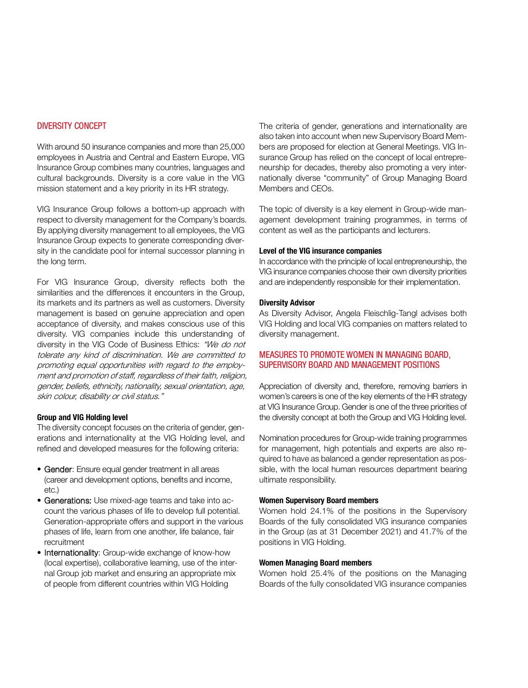# DIVERSITY CONCEPT

With around 50 insurance companies and more than 25,000 employees in Austria and Central and Eastern Europe, VIG Insurance Group combines many countries, languages and cultural backgrounds. Diversity is a core value in the VIG mission statement and a key priority in its HR strategy.

VIG Insurance Group follows a bottom-up approach with respect to diversity management for the Company's boards. By applying diversity management to all employees, the VIG Insurance Group expects to generate corresponding diversity in the candidate pool for internal successor planning in the long term.

For VIG Insurance Group, diversity reflects both the similarities and the differences it encounters in the Group, its markets and its partners as well as customers. Diversity management is based on genuine appreciation and open acceptance of diversity, and makes conscious use of this diversity. VIG companies include this understanding of diversity in the VIG Code of Business Ethics: "We do not tolerate any kind of discrimination. We are committed to promoting equal opportunities with regard to the employment and promotion of staff, regardless of their faith, religion, gender, beliefs, ethnicity, nationality, sexual orientation, age, skin colour, disability or civil status."

#### **Group and VIG Holding level**

The diversity concept focuses on the criteria of gender, generations and internationality at the VIG Holding level, and refined and developed measures for the following criteria:

- Gender: Ensure equal gender treatment in all areas (career and development options, benefits and income, etc.)
- Generations: Use mixed-age teams and take into account the various phases of life to develop full potential. Generation-appropriate offers and support in the various phases of life, learn from one another, life balance, fair recruitment
- Internationality: Group-wide exchange of know-how (local expertise), collaborative learning, use of the internal Group job market and ensuring an appropriate mix of people from different countries within VIG Holding

The criteria of gender, generations and internationality are also taken into account when new Supervisory Board Members are proposed for election at General Meetings. VIG Insurance Group has relied on the concept of local entrepreneurship for decades, thereby also promoting a very internationally diverse "community" of Group Managing Board Members and CEOs.

The topic of diversity is a key element in Group-wide management development training programmes, in terms of content as well as the participants and lecturers.

#### **Level of the VIG insurance companies**

In accordance with the principle of local entrepreneurship, the VIG insurance companies choose their own diversity priorities and are independently responsible for their implementation.

#### **Diversity Advisor**

As Diversity Advisor, Angela Fleischlig-Tangl advises both VIG Holding and local VIG companies on matters related to diversity management.

# MEASURES TO PROMOTE WOMEN IN MANAGING BOARD, SUPERVISORY BOARD AND MANAGEMENT POSITIONS

Appreciation of diversity and, therefore, removing barriers in women's careers is one of the key elements of the HR strategy at VIG Insurance Group. Gender is one of the three priorities of the diversity concept at both the Group and VIG Holding level.

Nomination procedures for Group-wide training programmes for management, high potentials and experts are also required to have as balanced a gender representation as possible, with the local human resources department bearing ultimate responsibility.

#### **Women Supervisory Board members**

Women hold 24.1% of the positions in the Supervisory Boards of the fully consolidated VIG insurance companies in the Group (as at 31 December 2021) and 41.7% of the positions in VIG Holding.

### **Women Managing Board members**

Women hold 25.4% of the positions on the Managing Boards of the fully consolidated VIG insurance companies